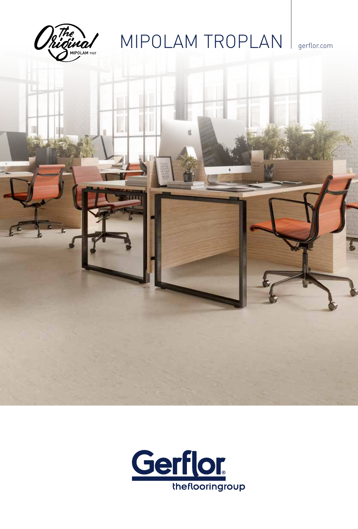

# MIPOLAM TROPLAN gerflor.com



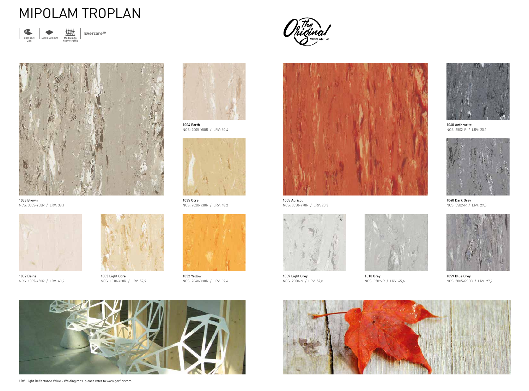

LRV: Light Reflectance Value - Welding rods: please refer to www.gerflor.com



1040 Dark Grey NCS: 5502-R / LRV: 29,5



1010 Grey NCS: 3502-R / LRV: 45,6





1035 Ocre NCS: 2020-Y30R / LRV: 48,2



1009 Light Grey NCS: 2000-N / LRV: 57,8



1060 Anthracite NCS: 6502-R / LRV: 20,1



1003 Light Ocre NCS: 1010-Y30R / LRV: 57,9



1059 Blue Grey NCS: 5005-R80B / LRV: 27,2



1032 Yellow NCS: 2040-Y30R / LRV: 39,4





1004 Earth NCS: 2005-Y50R / LRV: 50,4



1002 Beige NCS: 1005-Y50R / LRV: 63,9



1055 Apricot NCS: 3050-Y70R / LRV: 20,3



1033 Brown NCS: 3005-Y50R / LRV: 38,1

### MIPOLAM TROPLAN



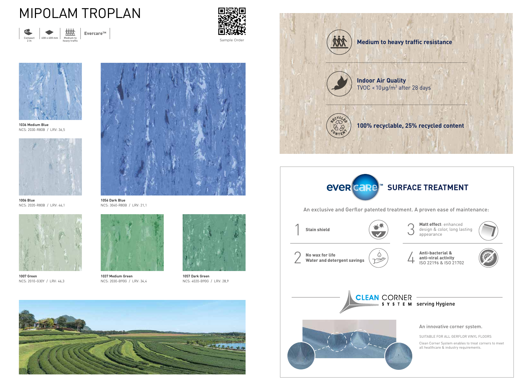

1056 Dark Blue NCS: 3040-R80B / LRV: 21,1



1006 Blue NCS: 2020-R80B / LRV: 46,1



1037 Medium Green NCS: 2030-B90G / LRV: 34,4



1057 Dark Green NCS: 4020-B90G / LRV: 28,9



1007 Green NCS: 2010-G30Y / LRV: 46,3



1036 Medium Blue NCS: 2030-R80B / LRV: 36,5



## MIPOLAM TROPLAN



 $E$ vercare<sup>TM</sup>

Matt effect: enhanced design & color, long lasting appearance



An innovative corner system.

SUITABLE FOR ALL GERFLOR VINYL FLOORS

Clean Corner System enables to treat corners to meet all healthcare & industry requirements.

An exclusive and Gerflor patented treatment. A proven ease of maintenance:







anti-viral activity ISO 22196 & ISO 21702





**100% recyclable, 25% recycled content**